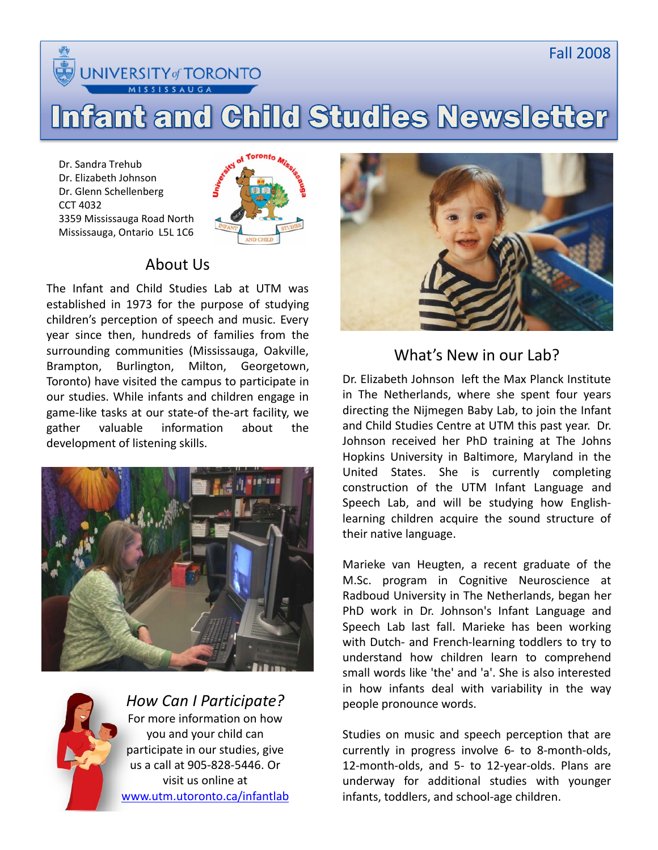

NIVERSITY of TORONTO **SSISSAUGA** 

# **Infant and Child Studies Newsletter**

Dr. Sandra Trehub Dr. Elizabeth Johnson Dr. Glenn Schellenberg CCT 4032 3359 Mississauga Road North Mississauga, Ontario L5L 1C6



## About Us

The Infant and Child Studies Lab at UTM was established in 1973 for the purpose of studying children's perception of speech and music. Every year since then, hundreds of families from the surrounding communities (Mississauga, Oakville, Brampton, Burlington, Milton, Georgetown, Toronto) have visited the campus to participate in our studies. While infants and children engage in game-like tasks at our state-of the-art facility, we gather valuable information about the development of listening skills.





*How Can I Participate?* For more information on how you and your child can participate in our studies, give us a call at 905-828-5446. Or visit us online at [www.utm.utoronto.ca/infantlab](http://www.utm.utoronto.ca/infantlab)



What's New in our Lab?

Dr. Elizabeth Johnson left the Max Planck Institute in The Netherlands, where she spent four years directing the Nijmegen Baby Lab, to join the Infant and Child Studies Centre at UTM this past year. Dr. Johnson received her PhD training at The Johns Hopkins University in Baltimore, Maryland in the United States. She is currently completing construction of the UTM Infant Language and Speech Lab, and will be studying how Englishlearning children acquire the sound structure of their native language.

Marieke van Heugten, a recent graduate of the M.Sc. program in Cognitive Neuroscience at Radboud University in The Netherlands, began her PhD work in Dr. Johnson's Infant Language and Speech Lab last fall. Marieke has been working with Dutch- and French-learning toddlers to try to understand how children learn to comprehend small words like 'the' and 'a'. She is also interested in how infants deal with variability in the way people pronounce words.

Studies on music and speech perception that are currently in progress involve  $6-$  to 8-month-olds, 12-month-olds, and 5- to 12-year-olds. Plans are underway for additional studies with younger infants, toddlers, and school-age children.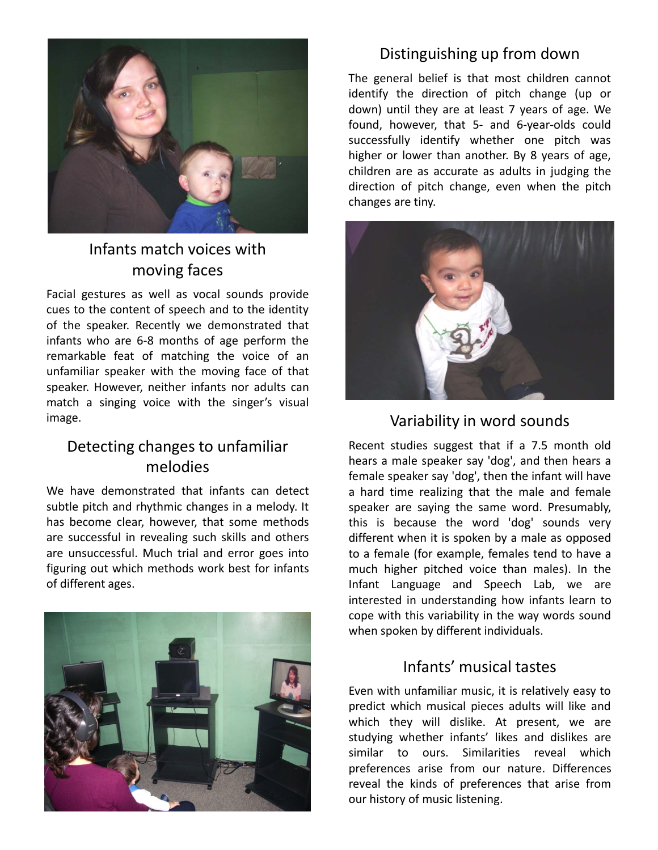

## Infants match voices with moving faces

Facial gestures as well as vocal sounds provide cues to the content of speech and to the identity of the speaker. Recently we demonstrated that infants who are 6-8 months of age perform the remarkable feat of matching the voice of an unfamiliar speaker with the moving face of that speaker. However, neither infants nor adults can match a singing voice with the singer's visual image.

#### Detecting changes to unfamiliar melodies

We have demonstrated that infants can detect subtle pitch and rhythmic changes in a melody. It has become clear, however, that some methods are successful in revealing such skills and others are unsuccessful. Much trial and error goes into figuring out which methods work best for infants of different ages.



#### Distinguishing up from down

The general belief is that most children cannot identify the direction of pitch change (up or down) until they are at least 7 years of age. We found, however, that 5- and 6-year-olds could successfully identify whether one pitch was higher or lower than another. By 8 years of age, children are as accurate as adults in judging the direction of pitch change, even when the pitch changes are tiny.



#### Variability in word sounds

Recent studies suggest that if a 7.5 month old hears a male speaker say 'dog', and then hears a female speaker say 'dog', then the infant will have a hard time realizing that the male and female speaker are saying the same word. Presumably, this is because the word 'dog' sounds very different when it is spoken by a male as opposed to a female (for example, females tend to have a much higher pitched voice than males). In the Infant Language and Speech Lab, we are interested in understanding how infants learn to cope with this variability in the way words sound when spoken by different individuals.

#### Infants' musical tastes

Even with unfamiliar music, it is relatively easy to predict which musical pieces adults will like and which they will dislike. At present, we are studying whether infants' likes and dislikes are similar to ours. Similarities reveal which preferences arise from our nature. Differences reveal the kinds of preferences that arise from our history of music listening.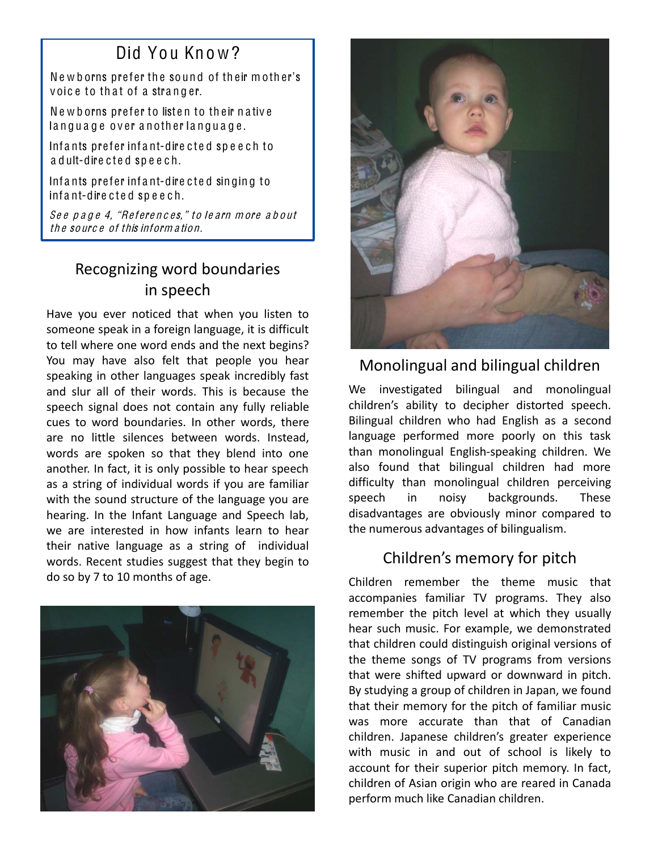# Did You Know?

Newborns prefer the sound of their mother's voice to that of a stranger.

Newborns prefer to listen to their native language over another language.

Infants prefer infant-directed speech to a d ult-dire cted speech.

Infants prefer infant-directed singing to infant-directed speech.

See page 4, "References," to learn more about th e so urc e of this inform a tion.

# Recognizing word boundaries in speech

Have you ever noticed that when you listen to someone speak in a foreign language, it is difficult to tell where one word ends and the next begins? You may have also felt that people you hear speaking in other languages speak incredibly fast and slur all of their words. This is because the speech signal does not contain any fully reliable cues to word boundaries. In other words, there are no little silences between words. Instead, words are spoken so that they blend into one another. In fact, it is only possible to hear speech as a string of individual words if you are familiar with the sound structure of the language you are hearing. In the Infant Language and Speech lab, we are interested in how infants learn to hear their native language as a string of individual words. Recent studies suggest that they begin to do so by 7 to 10 months of age.





## Monolingual and bilingual children!!

We investigated bilingual and monolingual children's ability to decipher distorted speech. Bilingual children who had English as a second language performed more poorly on this task than monolingual English-speaking children. We also found that bilingual children had more difficulty than monolingual children perceiving speech in noisy backgrounds. These disadvantages are obviously minor compared to the numerous advantages of bilingualism.

## Children's memory for pitch

Children remember the theme music that accompanies familiar TV programs. They also remember the pitch level at which they usually hear such music. For example, we demonstrated that children could distinguish original versions of the theme songs of TV programs from versions that were shifted upward or downward in pitch. By studying a group of children in Japan, we found that their memory for the pitch of familiar music was more accurate than that of Canadian children. Japanese children's greater experience with music in and out of school is likely to account for their superior pitch memory. In fact, children of Asian origin who are reared in Canada perform much like Canadian children.